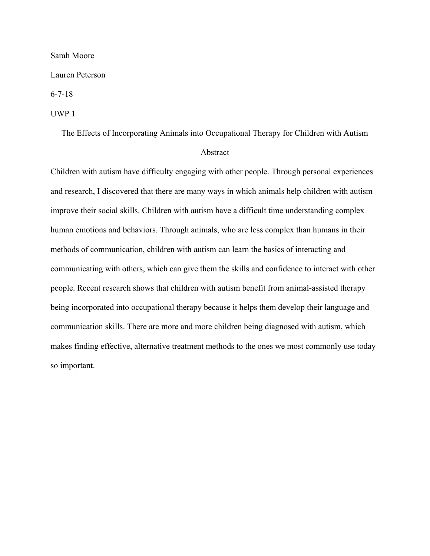## Sarah Moore

Lauren Peterson

6-7-18

## UWP 1

The Effects of Incorporating Animals into Occupational Therapy for Children with Autism

## Abstract

Children with autism have difficulty engaging with other people. Through personal experiences and research, I discovered that there are many ways in which animals help children with autism improve their social skills. Children with autism have a difficult time understanding complex human emotions and behaviors. Through animals, who are less complex than humans in their methods of communication, children with autism can learn the basics of interacting and communicating with others, which can give them the skills and confidence to interact with other people. Recent research shows that children with autism benefit from animal-assisted therapy being incorporated into occupational therapy because it helps them develop their language and communication skills. There are more and more children being diagnosed with autism, which makes finding effective, alternative treatment methods to the ones we most commonly use today so important.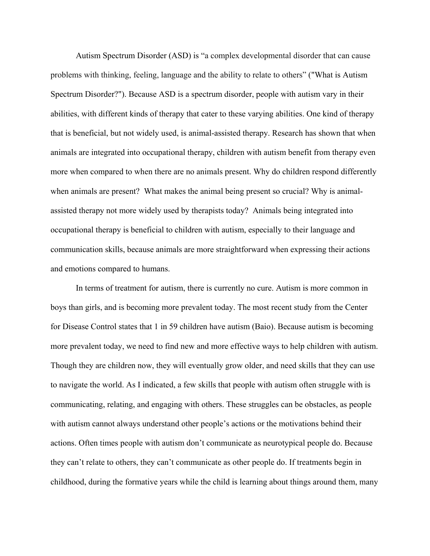Autism Spectrum Disorder (ASD) is "a complex developmental disorder that can cause problems with thinking, feeling, language and the ability to relate to others" ("What is Autism Spectrum Disorder?"). Because ASD is a spectrum disorder, people with autism vary in their abilities, with different kinds of therapy that cater to these varying abilities. One kind of therapy that is beneficial, but not widely used, is animal-assisted therapy. Research has shown that when animals are integrated into occupational therapy, children with autism benefit from therapy even more when compared to when there are no animals present. Why do children respond differently when animals are present? What makes the animal being present so crucial? Why is animalassisted therapy not more widely used by therapists today? Animals being integrated into occupational therapy is beneficial to children with autism, especially to their language and communication skills, because animals are more straightforward when expressing their actions and emotions compared to humans.

In terms of treatment for autism, there is currently no cure. Autism is more common in boys than girls, and is becoming more prevalent today. The most recent study from the Center for Disease Control states that 1 in 59 children have autism (Baio). Because autism is becoming more prevalent today, we need to find new and more effective ways to help children with autism. Though they are children now, they will eventually grow older, and need skills that they can use to navigate the world. As I indicated, a few skills that people with autism often struggle with is communicating, relating, and engaging with others. These struggles can be obstacles, as people with autism cannot always understand other people's actions or the motivations behind their actions. Often times people with autism don't communicate as neurotypical people do. Because they can't relate to others, they can't communicate as other people do. If treatments begin in childhood, during the formative years while the child is learning about things around them, many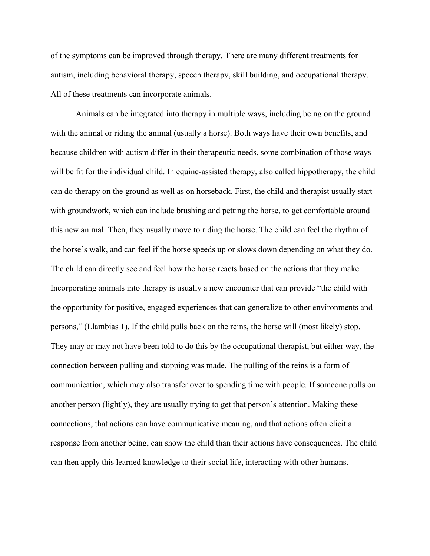of the symptoms can be improved through therapy. There are many different treatments for autism, including behavioral therapy, speech therapy, skill building, and occupational therapy. All of these treatments can incorporate animals.

Animals can be integrated into therapy in multiple ways, including being on the ground with the animal or riding the animal (usually a horse). Both ways have their own benefits, and because children with autism differ in their therapeutic needs, some combination of those ways will be fit for the individual child. In equine-assisted therapy, also called hippotherapy, the child can do therapy on the ground as well as on horseback. First, the child and therapist usually start with groundwork, which can include brushing and petting the horse, to get comfortable around this new animal. Then, they usually move to riding the horse. The child can feel the rhythm of the horse's walk, and can feel if the horse speeds up or slows down depending on what they do. The child can directly see and feel how the horse reacts based on the actions that they make. Incorporating animals into therapy is usually a new encounter that can provide "the child with the opportunity for positive, engaged experiences that can generalize to other environments and persons," (Llambias 1). If the child pulls back on the reins, the horse will (most likely) stop. They may or may not have been told to do this by the occupational therapist, but either way, the connection between pulling and stopping was made. The pulling of the reins is a form of communication, which may also transfer over to spending time with people. If someone pulls on another person (lightly), they are usually trying to get that person's attention. Making these connections, that actions can have communicative meaning, and that actions often elicit a response from another being, can show the child than their actions have consequences. The child can then apply this learned knowledge to their social life, interacting with other humans.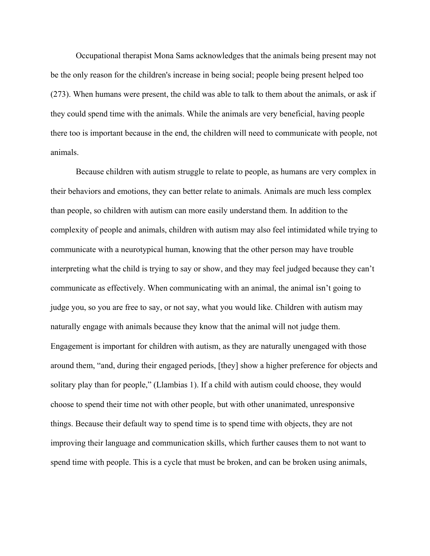Occupational therapist Mona Sams acknowledges that the animals being present may not be the only reason for the children's increase in being social; people being present helped too (273). When humans were present, the child was able to talk to them about the animals, or ask if they could spend time with the animals. While the animals are very beneficial, having people there too is important because in the end, the children will need to communicate with people, not animals.

Because children with autism struggle to relate to people, as humans are very complex in their behaviors and emotions, they can better relate to animals. Animals are much less complex than people, so children with autism can more easily understand them. In addition to the complexity of people and animals, children with autism may also feel intimidated while trying to communicate with a neurotypical human, knowing that the other person may have trouble interpreting what the child is trying to say or show, and they may feel judged because they can't communicate as effectively. When communicating with an animal, the animal isn't going to judge you, so you are free to say, or not say, what you would like. Children with autism may naturally engage with animals because they know that the animal will not judge them. Engagement is important for children with autism, as they are naturally unengaged with those around them, "and, during their engaged periods, [they] show a higher preference for objects and solitary play than for people," (Llambias 1). If a child with autism could choose, they would choose to spend their time not with other people, but with other unanimated, unresponsive things. Because their default way to spend time is to spend time with objects, they are not improving their language and communication skills, which further causes them to not want to spend time with people. This is a cycle that must be broken, and can be broken using animals,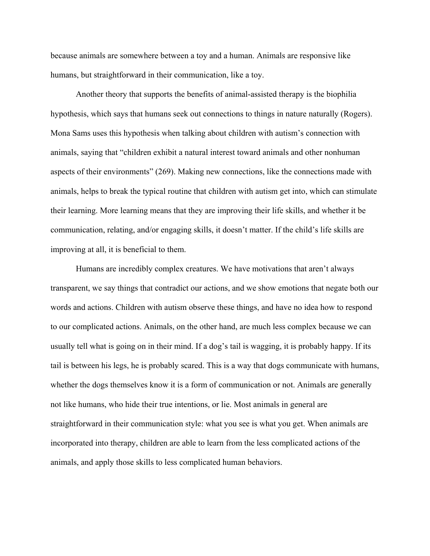because animals are somewhere between a toy and a human. Animals are responsive like humans, but straightforward in their communication, like a toy.

Another theory that supports the benefits of animal-assisted therapy is the biophilia hypothesis, which says that humans seek out connections to things in nature naturally (Rogers). Mona Sams uses this hypothesis when talking about children with autism's connection with animals, saying that "children exhibit a natural interest toward animals and other nonhuman aspects of their environments" (269). Making new connections, like the connections made with animals, helps to break the typical routine that children with autism get into, which can stimulate their learning. More learning means that they are improving their life skills, and whether it be communication, relating, and/or engaging skills, it doesn't matter. If the child's life skills are improving at all, it is beneficial to them.

 Humans are incredibly complex creatures. We have motivations that aren't always transparent, we say things that contradict our actions, and we show emotions that negate both our words and actions. Children with autism observe these things, and have no idea how to respond to our complicated actions. Animals, on the other hand, are much less complex because we can usually tell what is going on in their mind. If a dog's tail is wagging, it is probably happy. If its tail is between his legs, he is probably scared. This is a way that dogs communicate with humans, whether the dogs themselves know it is a form of communication or not. Animals are generally not like humans, who hide their true intentions, or lie. Most animals in general are straightforward in their communication style: what you see is what you get. When animals are incorporated into therapy, children are able to learn from the less complicated actions of the animals, and apply those skills to less complicated human behaviors.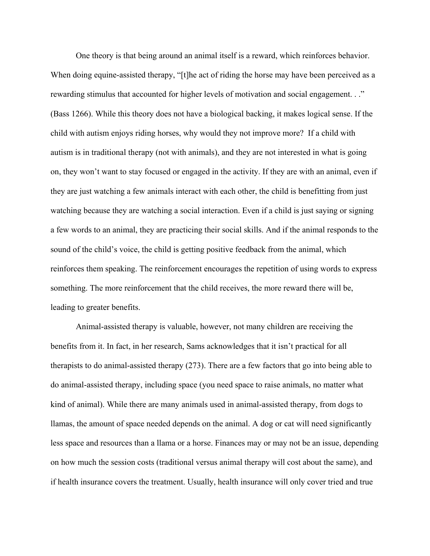One theory is that being around an animal itself is a reward, which reinforces behavior. When doing equine-assisted therapy, "[t]he act of riding the horse may have been perceived as a rewarding stimulus that accounted for higher levels of motivation and social engagement. . ." (Bass 1266). While this theory does not have a biological backing, it makes logical sense. If the child with autism enjoys riding horses, why would they not improve more? If a child with autism is in traditional therapy (not with animals), and they are not interested in what is going on, they won't want to stay focused or engaged in the activity. If they are with an animal, even if they are just watching a few animals interact with each other, the child is benefitting from just watching because they are watching a social interaction. Even if a child is just saying or signing a few words to an animal, they are practicing their social skills. And if the animal responds to the sound of the child's voice, the child is getting positive feedback from the animal, which reinforces them speaking. The reinforcement encourages the repetition of using words to express something. The more reinforcement that the child receives, the more reward there will be, leading to greater benefits.

 Animal-assisted therapy is valuable, however, not many children are receiving the benefits from it. In fact, in her research, Sams acknowledges that it isn't practical for all therapists to do animal-assisted therapy (273). There are a few factors that go into being able to do animal-assisted therapy, including space (you need space to raise animals, no matter what kind of animal). While there are many animals used in animal-assisted therapy, from dogs to llamas, the amount of space needed depends on the animal. A dog or cat will need significantly less space and resources than a llama or a horse. Finances may or may not be an issue, depending on how much the session costs (traditional versus animal therapy will cost about the same), and if health insurance covers the treatment. Usually, health insurance will only cover tried and true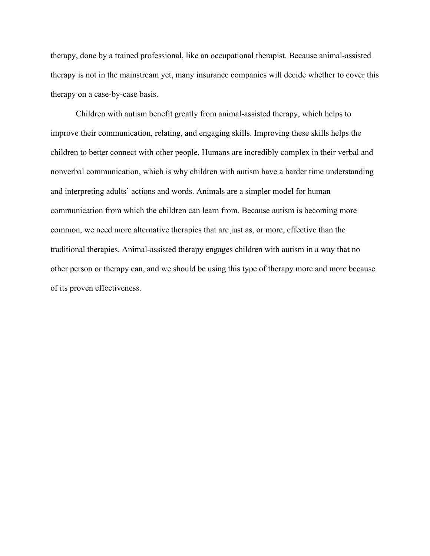therapy, done by a trained professional, like an occupational therapist. Because animal-assisted therapy is not in the mainstream yet, many insurance companies will decide whether to cover this therapy on a case-by-case basis.

 Children with autism benefit greatly from animal-assisted therapy, which helps to improve their communication, relating, and engaging skills. Improving these skills helps the children to better connect with other people. Humans are incredibly complex in their verbal and nonverbal communication, which is why children with autism have a harder time understanding and interpreting adults' actions and words. Animals are a simpler model for human communication from which the children can learn from. Because autism is becoming more common, we need more alternative therapies that are just as, or more, effective than the traditional therapies. Animal-assisted therapy engages children with autism in a way that no other person or therapy can, and we should be using this type of therapy more and more because of its proven effectiveness.